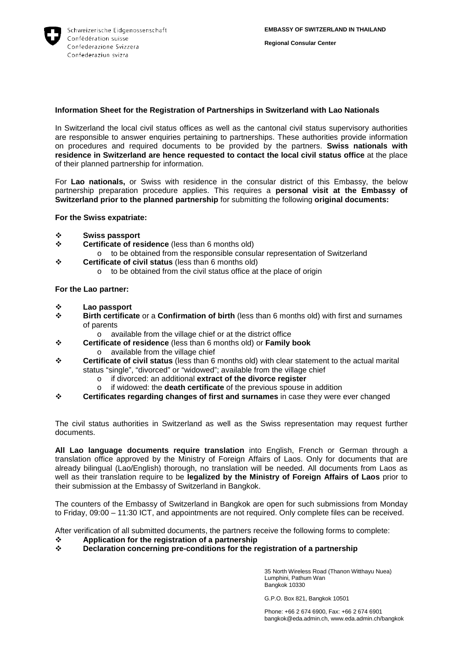

## **Information Sheet for the Registration of Partnerships in Switzerland with Lao Nationals**

In Switzerland the local civil status offices as well as the cantonal civil status supervisory authorities are responsible to answer enquiries pertaining to partnerships. These authorities provide information on procedures and required documents to be provided by the partners. **Swiss nationals with residence in Switzerland are hence requested to contact the local civil status office** at the place of their planned partnership for information.

For **Lao nationals,** or Swiss with residence in the consular district of this Embassy, the below partnership preparation procedure applies. This requires a **personal visit at the Embassy of Switzerland prior to the planned partnership** for submitting the following **original documents:**

**For the Swiss expatriate:** 

- **Swiss passport**
- **Certificate of residence** (less than 6 months old)
	- o to be obtained from the responsible consular representation of Switzerland
- **Certificate of civil status** (less than 6 months old)
	- o to be obtained from the civil status office at the place of origin

**For the Lao partner:** 

- **<sup>❖</sup>** Lao passport<br><sup>**ベ** Rirth certification</sup>
- **Birth certificate** or a **Confirmation of birth** (less than 6 months old) with first and surnames of parents
	- o available from the village chief or at the district office
- **Certificate of residence** (less than 6 months old) or **Family book** o available from the village chief
- **Certificate of civil status** (less than 6 months old) with clear statement to the actual marital status "single", "divorced" or "widowed"; available from the village chief
	- o if divorced: an additional **extract of the divorce register**
	- if widowed: the **death certificate** of the previous spouse in addition
- **Certificates regarding changes of first and surnames** in case they were ever changed

The civil status authorities in Switzerland as well as the Swiss representation may request further documents.

**All Lao language documents require translation** into English, French or German through a translation office approved by the Ministry of Foreign Affairs of Laos. Only for documents that are already bilingual (Lao/English) thorough, no translation will be needed. All documents from Laos as well as their translation require to be **legalized by the Ministry of Foreign Affairs of Laos** prior to their submission at the Embassy of Switzerland in Bangkok.

The counters of the Embassy of Switzerland in Bangkok are open for such submissions from Monday to Friday, 09:00 – 11:30 ICT, and appointments are not required. Only complete files can be received.

After verification of all submitted documents, the partners receive the following forms to complete:<br>  $\cdot \cdot$  Application for the registration of a partnership

- **↑** Application for the registration of a partnership<br>← Declaration concerning pre-conditions for the re
- **Declaration concerning pre-conditions for the registration of a partnership**

35 North Wireless Road (Thanon Witthayu Nuea) Lumphini, Pathum Wan Bangkok 10330

G.P.O. Box 821, Bangkok 10501

Phone: +66 2 674 6900, Fax: +66 2 674 6901 bangkok@eda.admin.ch, www.eda.admin.ch/bangkok